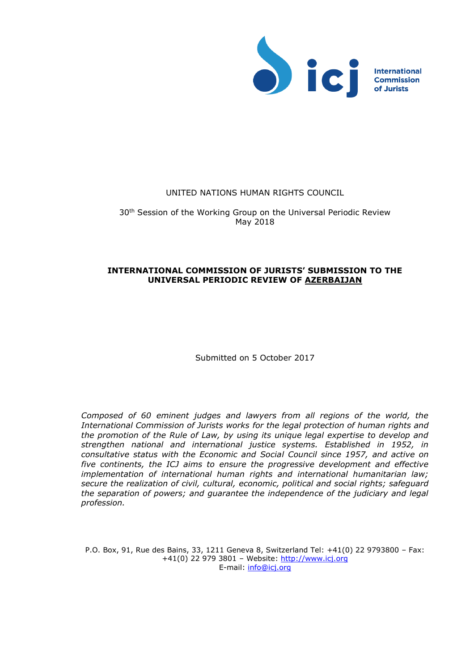

## UNITED NATIONS HUMAN RIGHTS COUNCIL

30<sup>th</sup> Session of the Working Group on the Universal Periodic Review May 2018

# **INTERNATIONAL COMMISSION OF JURISTS' SUBMISSION TO THE UNIVERSAL PERIODIC REVIEW OF AZERBAIJAN**

Submitted on 5 October 2017

*Composed of 60 eminent judges and lawyers from all regions of the world, the International Commission of Jurists works for the legal protection of human rights and the promotion of the Rule of Law, by using its unique legal expertise to develop and strengthen national and international justice systems. Established in 1952, in consultative status with the Economic and Social Council since 1957, and active on five continents, the ICJ aims to ensure the progressive development and effective implementation of international human rights and international humanitarian law; secure the realization of civil, cultural, economic, political and social rights; safeguard the separation of powers; and guarantee the independence of the judiciary and legal profession.*

P.O. Box, 91, Rue des Bains, 33, 1211 Geneva 8, Switzerland Tel: +41(0) 22 9793800 – Fax: +41(0) 22 979 3801 – Website: [http://www.icj.org](http://www.icj.org/) E-mail: [info@icj.org](mailto:info@icj.org)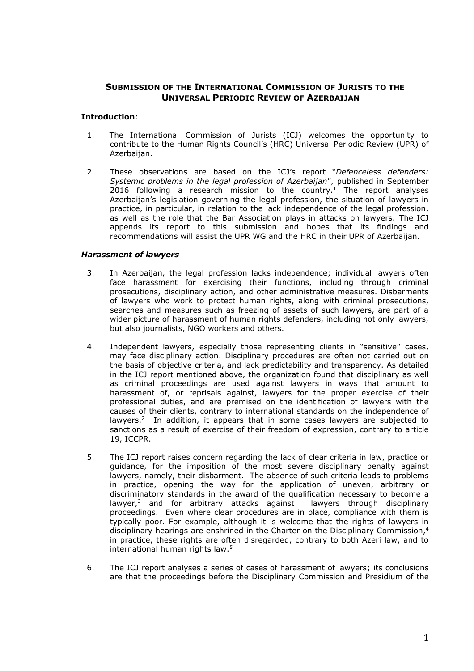# **SUBMISSION OF THE INTERNATIONAL COMMISSION OF JURISTS TO THE UNIVERSAL PERIODIC REVIEW OF AZERBAIJAN**

### **Introduction**:

- 1. The International Commission of Jurists (ICJ) welcomes the opportunity to contribute to the Human Rights Council's (HRC) Universal Periodic Review (UPR) of Azerbaijan.
- 2. These observations are based on the ICJ's report "*Defenceless defenders: Systemic problems in the legal profession of Azerbaijan*", published in September 2016 following a research mission to the country. <sup>1</sup> The report analyses Azerbaijan's legislation governing the legal profession, the situation of lawyers in practice, in particular, in relation to the lack independence of the legal profession, as well as the role that the Bar Association plays in attacks on lawyers. The ICJ appends its report to this submission and hopes that its findings and recommendations will assist the UPR WG and the HRC in their UPR of Azerbaijan.

### *Harassment of lawyers*

- 3. In Azerbaijan, the legal profession lacks independence; individual lawyers often face harassment for exercising their functions, including through criminal prosecutions, disciplinary action, and other administrative measures. Disbarments of lawyers who work to protect human rights, along with criminal prosecutions, searches and measures such as freezing of assets of such lawyers, are part of a wider picture of harassment of human rights defenders, including not only lawyers, but also journalists, NGO workers and others.
- 4. Independent lawyers, especially those representing clients in "sensitive" cases, may face disciplinary action. Disciplinary procedures are often not carried out on the basis of objective criteria, and lack predictability and transparency. As detailed in the ICJ report mentioned above, the organization found that disciplinary as well as criminal proceedings are used against lawyers in ways that amount to harassment of, or reprisals against, lawyers for the proper exercise of their professional duties, and are premised on the identification of lawyers with the causes of their clients, contrary to international standards on the independence of lawyers.<sup>2</sup> In addition, it appears that in some cases lawyers are subjected to sanctions as a result of exercise of their freedom of expression, contrary to article 19, ICCPR.
- 5. The ICJ report raises concern regarding the lack of clear criteria in law, practice or guidance, for the imposition of the most severe disciplinary penalty against lawyers, namely, their disbarment. The absence of such criteria leads to problems in practice, opening the way for the application of uneven, arbitrary or discriminatory standards in the award of the qualification necessary to become a lawyer, <sup>3</sup> and for arbitrary attacks against lawyers through disciplinary proceedings. Even where clear procedures are in place, compliance with them is typically poor. For example, although it is welcome that the rights of lawyers in disciplinary hearings are enshrined in the Charter on the Disciplinary Commission,<sup>4</sup> in practice, these rights are often disregarded, contrary to both Azeri law, and to international human rights law.<sup>5</sup>
- 6. The ICJ report analyses a series of cases of harassment of lawyers; its conclusions are that the proceedings before the Disciplinary Commission and Presidium of the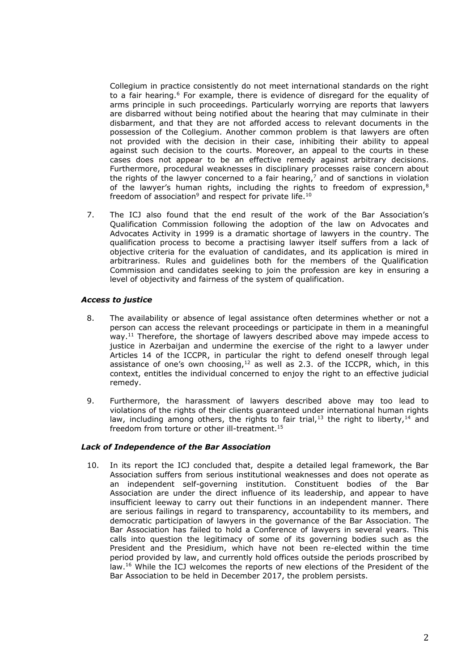Collegium in practice consistently do not meet international standards on the right to a fair hearing.<sup>6</sup> For example, there is evidence of disregard for the equality of arms principle in such proceedings. Particularly worrying are reports that lawyers are disbarred without being notified about the hearing that may culminate in their disbarment, and that they are not afforded access to relevant documents in the possession of the Collegium. Another common problem is that lawyers are often not provided with the decision in their case, inhibiting their ability to appeal against such decision to the courts. Moreover, an appeal to the courts in these cases does not appear to be an effective remedy against arbitrary decisions. Furthermore, procedural weaknesses in disciplinary processes raise concern about the rights of the lawyer concerned to a fair hearing, <sup>7</sup> and of sanctions in violation of the lawyer's human rights, including the rights to freedom of expression,<sup>8</sup> freedom of association<sup>9</sup> and respect for private life.<sup>10</sup>

7. The ICJ also found that the end result of the work of the Bar Association's Qualification Commission following the adoption of the law on Advocates and Advocates Activity in 1999 is a dramatic shortage of lawyers in the country. The qualification process to become a practising lawyer itself suffers from a lack of objective criteria for the evaluation of candidates, and its application is mired in arbitrariness. Rules and guidelines both for the members of the Qualification Commission and candidates seeking to join the profession are key in ensuring a level of objectivity and fairness of the system of qualification.

## *Access to justice*

- 8. The availability or absence of legal assistance often determines whether or not a person can access the relevant proceedings or participate in them in a meaningful way.<sup>11</sup> Therefore, the shortage of lawyers described above may impede access to justice in Azerbaijan and undermine the exercise of the right to a lawyer under Articles 14 of the ICCPR, in particular the right to defend oneself through legal assistance of one's own choosing, $12$  as well as 2.3. of the ICCPR, which, in this context, entitles the individual concerned to enjoy the right to an effective judicial remedy.
- 9. Furthermore, the harassment of lawyers described above may too lead to violations of the rights of their clients guaranteed under international human rights law, including among others, the rights to fair trial,<sup>13</sup> the right to liberty,<sup>14</sup> and freedom from torture or other ill-treatment.<sup>15</sup>

### *Lack of Independence of the Bar Association*

10. In its report the ICJ concluded that, despite a detailed legal framework, the Bar Association suffers from serious institutional weaknesses and does not operate as an independent self-governing institution. Constituent bodies of the Bar Association are under the direct influence of its leadership, and appear to have insufficient leeway to carry out their functions in an independent manner. There are serious failings in regard to transparency, accountability to its members, and democratic participation of lawyers in the governance of the Bar Association. The Bar Association has failed to hold a Conference of lawyers in several years. This calls into question the legitimacy of some of its governing bodies such as the President and the Presidium, which have not been re-elected within the time period provided by law, and currently hold offices outside the periods proscribed by law.<sup>16</sup> While the ICJ welcomes the reports of new elections of the President of the Bar Association to be held in December 2017, the problem persists.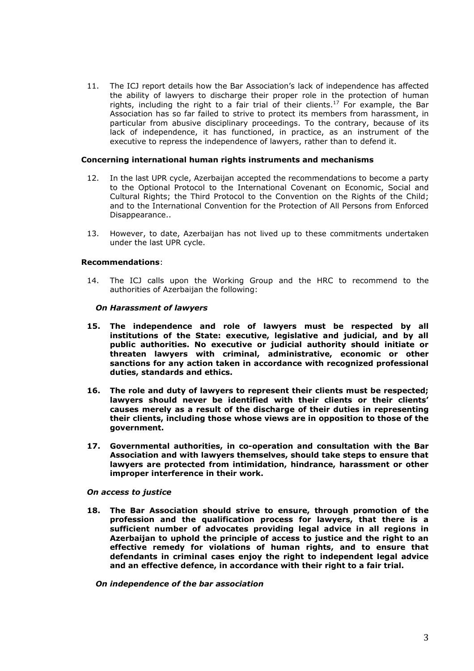11. The ICJ report details how the Bar Association's lack of independence has affected the ability of lawyers to discharge their proper role in the protection of human rights, including the right to a fair trial of their clients.<sup>17</sup> For example, the Bar Association has so far failed to strive to protect its members from harassment, in particular from abusive disciplinary proceedings. To the contrary, because of its lack of independence, it has functioned, in practice, as an instrument of the executive to repress the independence of lawyers, rather than to defend it.

### **Concerning international human rights instruments and mechanisms**

- 12. In the last UPR cycle, Azerbaijan accepted the recommendations to become a party to the Optional Protocol to the International Covenant on Economic, Social and Cultural Rights; the Third Protocol to the Convention on the Rights of the Child; and to the International Convention for the Protection of All Persons from Enforced Disappearance..
- 13. However, to date, Azerbaijan has not lived up to these commitments undertaken under the last UPR cycle.

#### **Recommendations**:

14. The ICJ calls upon the Working Group and the HRC to recommend to the authorities of Azerbaijan the following:

#### *On Harassment of lawyers*

- **15. The independence and role of lawyers must be respected by all institutions of the State: executive, legislative and judicial, and by all public authorities. No executive or judicial authority should initiate or threaten lawyers with criminal, administrative, economic or other sanctions for any action taken in accordance with recognized professional duties, standards and ethics.**
- **16. The role and duty of lawyers to represent their clients must be respected; lawyers should never be identified with their clients or their clients' causes merely as a result of the discharge of their duties in representing their clients, including those whose views are in opposition to those of the government.**
- **17. Governmental authorities, in co-operation and consultation with the Bar Association and with lawyers themselves, should take steps to ensure that lawyers are protected from intimidation, hindrance, harassment or other improper interference in their work.**

#### *On access to justice*

**18. The Bar Association should strive to ensure, through promotion of the profession and the qualification process for lawyers, that there is a sufficient number of advocates providing legal advice in all regions in Azerbaijan to uphold the principle of access to justice and the right to an effective remedy for violations of human rights, and to ensure that defendants in criminal cases enjoy the right to independent legal advice and an effective defence, in accordance with their right to a fair trial.**

*On independence of the bar association*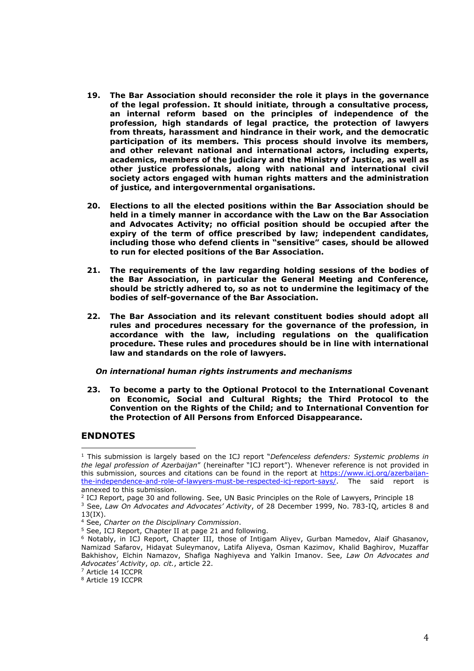- **19. The Bar Association should reconsider the role it plays in the governance of the legal profession. It should initiate, through a consultative process, an internal reform based on the principles of independence of the profession, high standards of legal practice, the protection of lawyers from threats, harassment and hindrance in their work, and the democratic participation of its members. This process should involve its members, and other relevant national and international actors, including experts, academics, members of the judiciary and the Ministry of Justice, as well as other justice professionals, along with national and international civil society actors engaged with human rights matters and the administration of justice, and intergovernmental organisations.**
- **20. Elections to all the elected positions within the Bar Association should be held in a timely manner in accordance with the Law on the Bar Association and Advocates Activity; no official position should be occupied after the expiry of the term of office prescribed by law; independent candidates, including those who defend clients in "sensitive" cases, should be allowed to run for elected positions of the Bar Association.**
- **21. The requirements of the law regarding holding sessions of the bodies of the Bar Association, in particular the General Meeting and Conference, should be strictly adhered to, so as not to undermine the legitimacy of the bodies of self-governance of the Bar Association.**
- **22. The Bar Association and its relevant constituent bodies should adopt all rules and procedures necessary for the governance of the profession, in accordance with the law, including regulations on the qualification procedure. These rules and procedures should be in line with international law and standards on the role of lawyers.**

### *On international human rights instruments and mechanisms*

**23. To become a party to the Optional Protocol to the International Covenant on Economic, Social and Cultural Rights; the Third Protocol to the Convention on the Rights of the Child; and to International Convention for the Protection of All Persons from Enforced Disappearance.**

# **ENDNOTES**

 $\overline{a}$ 

<sup>1</sup> This submission is largely based on the ICJ report "*Defenceless defenders: Systemic problems in the legal profession of Azerbaijan*" (hereinafter "ICJ report"). Whenever reference is not provided in this submission, sources and citations can be found in the report at [https://www.icj.org/azerbaijan](https://www.icj.org/azerbaijan-the-independence-and-role-of-lawyers-must-be-respected-icj-report-says/)[the-independence-and-role-of-lawyers-must-be-respected-icj-report-says/.](https://www.icj.org/azerbaijan-the-independence-and-role-of-lawyers-must-be-respected-icj-report-says/) The said report is annexed to this submission.

<sup>2</sup> ICJ Report, page 30 and following. See, UN Basic Principles on the Role of Lawyers, Principle 18

<sup>3</sup> See, *Law On Advocates and Advocates' Activity*, of 28 December 1999, No. 783-IQ, articles 8 and 13(IX).

<sup>4</sup> See, *Charter on the Disciplinary Commission*.

<sup>5</sup> See, ICJ Report, Chapter II at page 21 and following.

<sup>6</sup> Notably, in ICJ Report, Chapter III, those of Intigam Aliyev, Gurban Mamedov, Alaif Ghasanov, Namizad Safarov, Hidayat Suleymanov, Latifa Aliyeva, Osman Kazimov, Khalid Baghirov, Muzaffar Bakhishov, Elchin Namazov, Shafiga Naghiyeva and Yalkin Imanov. See, *Law On Advocates and Advocates' Activity*, *op. cit.*, article 22.

<sup>&</sup>lt;sup>7</sup> Article 14 ICCPR

<sup>8</sup> Article 19 ICCPR